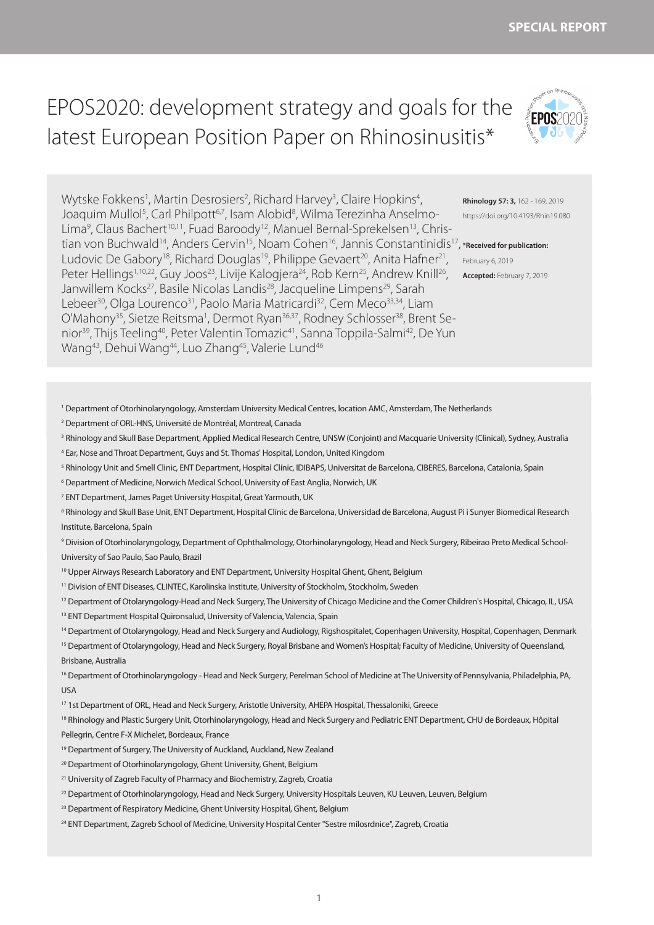**1**

# EPOS2020: development strategy and goals for the latest European Position Paper on Rhinosinusitis\*

Wytske Fokkens<sup>1</sup>, Martin Desrosiers<sup>2</sup>, Richard Harvey<sup>3</sup>, Claire Hopkins<sup>4</sup>, Joaquim Mullol<sup>5</sup>, Carl Philpott<sup>6,7</sup>, Isam Alobid<sup>8</sup>, Wilma Terezinha Anselmo-Lima<sup>9</sup>, Claus Bachert<sup>10,11</sup>, Fuad Baroody<sup>12</sup>, Manuel Bernal-Sprekelsen<sup>13</sup>, Christian von Buchwald<sup>14</sup>, Anders Cervin<sup>15</sup>, Noam Cohen<sup>16</sup>, Jannis Constantinidis<sup>17</sup>, \*Received for publication: Ludovic De Gabory<sup>18</sup>, Richard Douglas<sup>19</sup>, Philippe Gevaert<sup>20</sup>, Anita Hafner<sup>21</sup>, Peter Hellings<sup>1,10,22</sup>, Guy Joos<sup>23</sup>, Livije Kalogjera<sup>24</sup>, Rob Kern<sup>25</sup>, Andrew Knill<sup>26</sup>, Janwillem Kocks<sup>27</sup>, Basile Nicolas Landis<sup>28</sup>, Jacqueline Limpens<sup>29</sup>, Sarah Lebeer<sup>30</sup>, Olga Lourenco<sup>31</sup>, Paolo Maria Matricardi<sup>32</sup>, Cem Meco<sup>33,34</sup>, Liam O'Mahony<sup>35</sup>, Sietze Reitsma<sup>1</sup>, Dermot Ryan<sup>36,37</sup>, Rodney Schlosser<sup>38</sup>, Brent Senior<sup>39</sup>, Thijs Teeling<sup>40</sup>, Peter Valentin Tomazic<sup>41</sup>, Sanna Toppila-Salmi<sup>42</sup>, De Yun Wang<sup>43</sup>, Dehui Wang<sup>44</sup>, Luo Zhang<sup>45</sup>, Valerie Lund<sup>46</sup>

**Rhinology 57: 3,** 162 - 169, 2019 https://doi.org/10.4193/Rhin19.080

February 6, 2019 **Accepted:** February 7, 2019

1 Department of Otorhinolaryngology, Amsterdam University Medical Centres, location AMC, Amsterdam, The Netherlands

2 Department of ORL-HNS, Université de Montréal, Montreal, Canada

<sup>3</sup> Rhinology and Skull Base Department, Applied Medical Research Centre, UNSW (Conjoint) and Macquarie University (Clinical), Sydney, Australia

4 Ear, Nose and Throat Department, Guys and St. Thomas' Hospital, London, United Kingdom

<sup>5</sup> Rhinology Unit and Smell Clinic, ENT Department, Hospital Clínic, IDIBAPS, Universitat de Barcelona, CIBERES, Barcelona, Catalonia, Spain

6 Department of Medicine, Norwich Medical School, University of East Anglia, Norwich, UK

7 ENT Department, James Paget University Hospital, Great Yarmouth, UK

8 Rhinology and Skull Base Unit, ENT Department, Hospital Clínic de Barcelona, Universidad de Barcelona, August Pi i Sunyer Biomedical Research Institute, Barcelona, Spain

9 Division of Otorhinolaryngology, Department of Ophthalmology, Otorhinolaryngology, Head and Neck Surgery, Ribeirao Preto Medical School-University of Sao Paulo, Sao Paulo, Brazil

10 Upper Airways Research Laboratory and ENT Department, University Hospital Ghent, Ghent, Belgium

11 Division of ENT Diseases, CLINTEC, Karolinska Institute, University of Stockholm, Stockholm, Sweden

<sup>12</sup> Department of Otolaryngology-Head and Neck Surgery, The University of Chicago Medicine and the Comer Children's Hospital, Chicago, IL, USA

<sup>13</sup> ENT Department Hospital Quironsalud, University of Valencia, Valencia, Spain

<sup>14</sup> Department of Otolaryngology, Head and Neck Surgery and Audiology, Rigshospitalet, Copenhagen University, Hospital, Copenhagen, Denmark

<sup>15</sup> Department of Otolaryngology, Head and Neck Surgery, Royal Brisbane and Women's Hospital; Faculty of Medicine, University of Queensland, Brisbane, Australia

<sup>16</sup> Department of Otorhinolaryngology - Head and Neck Surgery, Perelman School of Medicine at The University of Pennsylvania, Philadelphia, PA, USA

17 1st Department of ORL, Head and Neck Surgery, Aristotle University, AHEPA Hospital, Thessaloniki, Greece

<sup>18</sup> Rhinology and Plastic Surgery Unit, Otorhinolaryngology, Head and Neck Surgery and Pediatric ENT Department, CHU de Bordeaux, Hôpital Pellegrin, Centre F-X Michelet, Bordeaux, France

- <sup>19</sup> Department of Surgery, The University of Auckland, Auckland, New Zealand
- <sup>20</sup> Department of Otorhinolaryngology, Ghent University, Ghent, Belgium
- <sup>21</sup> University of Zagreb Faculty of Pharmacy and Biochemistry, Zagreb, Croatia
- <sup>22</sup> Department of Otorhinolaryngology, Head and Neck Surgery, University Hospitals Leuven, KU Leuven, Leuven, Belgium
- <sup>23</sup> Department of Respiratory Medicine, Ghent University Hospital, Ghent, Belgium
- 24 ENT Department, Zagreb School of Medicine, University Hospital Center "Sestre milosrdnice", Zagreb, Croatia

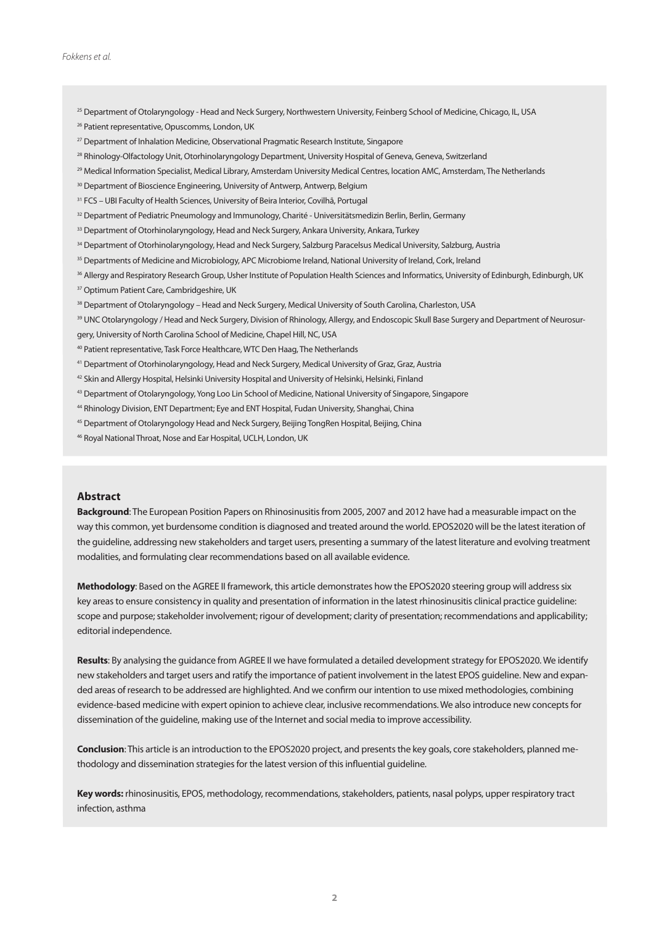- <sup>25</sup> Department of Otolaryngology Head and Neck Surgery, Northwestern University, Feinberg School of Medicine, Chicago, IL, USA
- <sup>26</sup> Patient representative, Opuscomms, London, UK
- <sup>27</sup> Department of Inhalation Medicine, Observational Pragmatic Research Institute, Singapore
- 28 Rhinology-Olfactology Unit, Otorhinolaryngology Department, University Hospital of Geneva, Geneva, Switzerland
- 29 Medical Information Specialist, Medical Library, Amsterdam University Medical Centres, location AMC, Amsterdam, The Netherlands
- <sup>30</sup> Department of Bioscience Engineering, University of Antwerp, Antwerp, Belgium
- <sup>31</sup> FCS UBI Faculty of Health Sciences, University of Beira Interior, Covilhã, Portugal
- 32 Department of Pediatric Pneumology and Immunology, Charité Universitätsmedizin Berlin, Berlin, Germany
- 33 Department of Otorhinolaryngology, Head and Neck Surgery, Ankara University, Ankara, Turkey
- 34 Department of Otorhinolaryngology, Head and Neck Surgery, Salzburg Paracelsus Medical University, Salzburg, Austria
- <sup>35</sup> Departments of Medicine and Microbiology, APC Microbiome Ireland, National University of Ireland, Cork, Ireland
- 36 Allergy and Respiratory Research Group, Usher Institute of Population Health Sciences and Informatics, University of Edinburgh, Edinburgh, UK
- <sup>37</sup> Optimum Patient Care, Cambridgeshire, UK
- 38 Department of Otolaryngology Head and Neck Surgery, Medical University of South Carolina, Charleston, USA
- 39 UNC Otolaryngology / Head and Neck Surgery, Division of Rhinology, Allergy, and Endoscopic Skull Base Surgery and Department of Neurosurgery, University of North Carolina School of Medicine, Chapel Hill, NC, USA
- 40 Patient representative, Task Force Healthcare, WTC Den Haag, The Netherlands
- 41 Department of Otorhinolaryngology, Head and Neck Surgery, Medical University of Graz, Graz, Austria
- 42 Skin and Allergy Hospital, Helsinki University Hospital and University of Helsinki, Helsinki, Finland
- 43 Department of Otolaryngology, Yong Loo Lin School of Medicine, National University of Singapore, Singapore
- 44 Rhinology Division, ENT Department; Eye and ENT Hospital, Fudan University, Shanghai, China
- 45 Department of Otolaryngology Head and Neck Surgery, Beijing TongRen Hospital, Beijing, China
- 46 Royal National Throat, Nose and Ear Hospital, UCLH, London, UK

## **Abstract**

**Background**: The European Position Papers on Rhinosinusitis from 2005, 2007 and 2012 have had a measurable impact on the way this common, yet burdensome condition is diagnosed and treated around the world. EPOS2020 will be the latest iteration of the guideline, addressing new stakeholders and target users, presenting a summary of the latest literature and evolving treatment modalities, and formulating clear recommendations based on all available evidence.

**Methodology**: Based on the AGREE II framework, this article demonstrates how the EPOS2020 steering group will address six key areas to ensure consistency in quality and presentation of information in the latest rhinosinusitis clinical practice guideline: scope and purpose; stakeholder involvement; rigour of development; clarity of presentation; recommendations and applicability; editorial independence.

**Results**: By analysing the guidance from AGREE II we have formulated a detailed development strategy for EPOS2020. We identify new stakeholders and target users and ratify the importance of patient involvement in the latest EPOS guideline. New and expanded areas of research to be addressed are highlighted. And we confirm our intention to use mixed methodologies, combining evidence-based medicine with expert opinion to achieve clear, inclusive recommendations. We also introduce new concepts for dissemination of the guideline, making use of the Internet and social media to improve accessibility.

**Conclusion**: This article is an introduction to the EPOS2020 project, and presents the key goals, core stakeholders, planned methodology and dissemination strategies for the latest version of this influential guideline.

**Key words:** rhinosinusitis, EPOS, methodology, recommendations, stakeholders, patients, nasal polyps, upper respiratory tract infection, asthma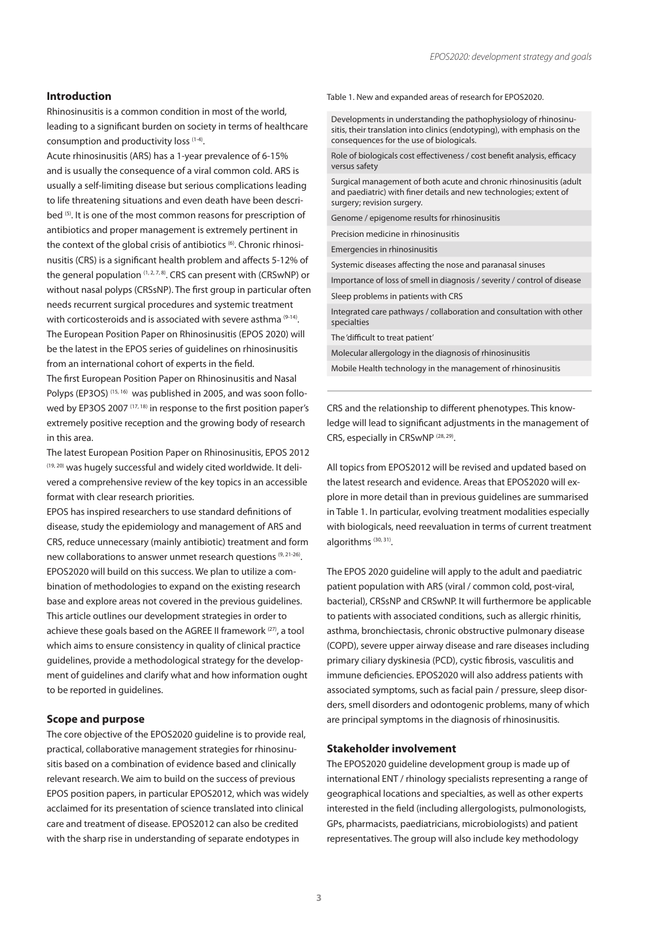## **Introduction**

Rhinosinusitis is a common condition in most of the world, leading to a significant burden on society in terms of healthcare consumption and productivity loss (1-4).

Acute rhinosinusitis (ARS) has a 1-year prevalence of 6-15% and is usually the consequence of a viral common cold. ARS is usually a self-limiting disease but serious complications leading to life threatening situations and even death have been described (5). It is one of the most common reasons for prescription of antibiotics and proper management is extremely pertinent in the context of the global crisis of antibiotics<sup>(6)</sup>. Chronic rhinosinusitis (CRS) is a significant health problem and affects 5-12% of the general population  $(1, 2, 7, 8)$ . CRS can present with (CRSwNP) or without nasal polyps (CRSsNP). The first group in particular often needs recurrent surgical procedures and systemic treatment with corticosteroids and is associated with severe asthma  $(9-14)$ . The European Position Paper on Rhinosinusitis (EPOS 2020) will be the latest in the EPOS series of guidelines on rhinosinusitis from an international cohort of experts in the field. The first European Position Paper on Rhinosinusitis and Nasal Polyps (EP3OS)<sup>(15, 16)</sup> was published in 2005, and was soon followed by EP3OS 2007<sup>(17, 18)</sup> in response to the first position paper's extremely positive reception and the growing body of research in this area.

The latest European Position Paper on Rhinosinusitis, EPOS 2012 (19, 20) was hugely successful and widely cited worldwide. It delivered a comprehensive review of the key topics in an accessible format with clear research priorities.

EPOS has inspired researchers to use standard definitions of disease, study the epidemiology and management of ARS and CRS, reduce unnecessary (mainly antibiotic) treatment and form new collaborations to answer unmet research questions (9, 21-26). EPOS2020 will build on this success. We plan to utilize a combination of methodologies to expand on the existing research base and explore areas not covered in the previous guidelines. This article outlines our development strategies in order to achieve these goals based on the AGREE II framework (27), a tool which aims to ensure consistency in quality of clinical practice guidelines, provide a methodological strategy for the development of guidelines and clarify what and how information ought to be reported in guidelines.

## **Scope and purpose**

The core objective of the EPOS2020 guideline is to provide real, practical, collaborative management strategies for rhinosinusitis based on a combination of evidence based and clinically relevant research. We aim to build on the success of previous EPOS position papers, in particular EPOS2012, which was widely acclaimed for its presentation of science translated into clinical care and treatment of disease. EPOS2012 can also be credited with the sharp rise in understanding of separate endotypes in

Table 1. New and expanded areas of research for EPOS2020.

Developments in understanding the pathophysiology of rhinosinusitis, their translation into clinics (endotyping), with emphasis on the consequences for the use of biologicals.

Role of biologicals cost effectiveness / cost benefit analysis, efficacy versus safety

Surgical management of both acute and chronic rhinosinusitis (adult and paediatric) with finer details and new technologies; extent of surgery; revision surgery.

Genome / epigenome results for rhinosinusitis

Precision medicine in rhinosinusitis Emergencies in rhinosinusitis

Systemic diseases affecting the nose and paranasal sinuses

Importance of loss of smell in diagnosis / severity / control of disease Sleep problems in patients with CRS

Integrated care pathways / collaboration and consultation with other specialties

The 'difficult to treat patient'

Molecular allergology in the diagnosis of rhinosinusitis

Mobile Health technology in the management of rhinosinusitis

CRS and the relationship to different phenotypes. This knowledge will lead to significant adjustments in the management of CRS, especially in CRSwNP (28, 29).

All topics from EPOS2012 will be revised and updated based on the latest research and evidence. Areas that EPOS2020 will explore in more detail than in previous guidelines are summarised in Table 1. In particular, evolving treatment modalities especially with biologicals, need reevaluation in terms of current treatment algorithms (30, 31).

The EPOS 2020 guideline will apply to the adult and paediatric patient population with ARS (viral / common cold, post-viral, bacterial), CRSsNP and CRSwNP. It will furthermore be applicable to patients with associated conditions, such as allergic rhinitis, asthma, bronchiectasis, chronic obstructive pulmonary disease (COPD), severe upper airway disease and rare diseases including primary ciliary dyskinesia (PCD), cystic fibrosis, vasculitis and immune deficiencies. EPOS2020 will also address patients with associated symptoms, such as facial pain / pressure, sleep disorders, smell disorders and odontogenic problems, many of which are principal symptoms in the diagnosis of rhinosinusitis.

#### **Stakeholder involvement**

The EPOS2020 guideline development group is made up of international ENT / rhinology specialists representing a range of geographical locations and specialties, as well as other experts interested in the field (including allergologists, pulmonologists, GPs, pharmacists, paediatricians, microbiologists) and patient representatives. The group will also include key methodology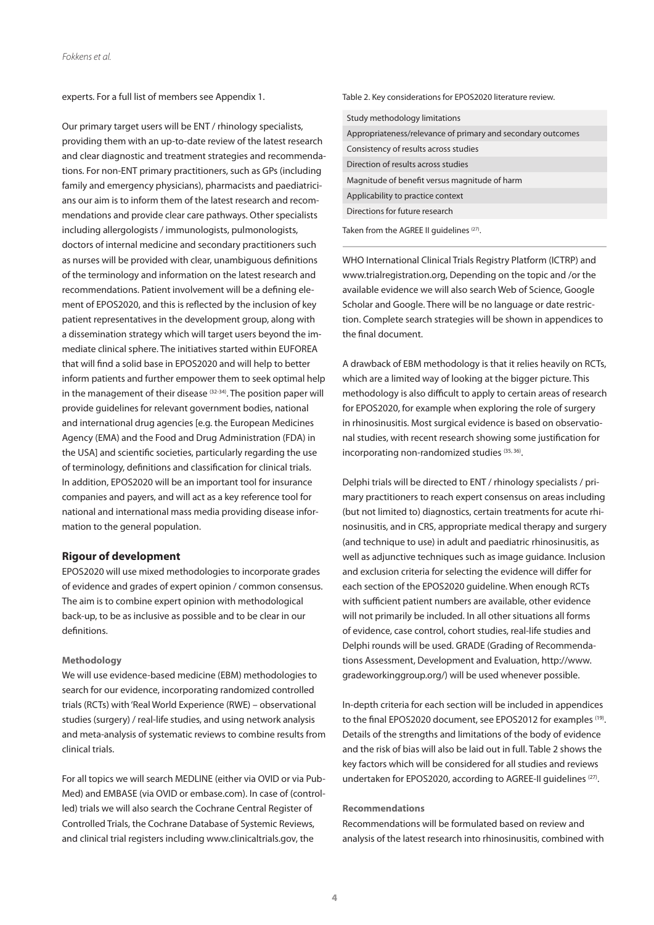experts. For a full list of members see Appendix 1.

Our primary target users will be ENT / rhinology specialists, providing them with an up-to-date review of the latest research and clear diagnostic and treatment strategies and recommendations. For non-ENT primary practitioners, such as GPs (including family and emergency physicians), pharmacists and paediatricians our aim is to inform them of the latest research and recommendations and provide clear care pathways. Other specialists including allergologists / immunologists, pulmonologists, doctors of internal medicine and secondary practitioners such as nurses will be provided with clear, unambiguous definitions of the terminology and information on the latest research and recommendations. Patient involvement will be a defining element of EPOS2020, and this is reflected by the inclusion of key patient representatives in the development group, along with a dissemination strategy which will target users beyond the immediate clinical sphere. The initiatives started within EUFOREA that will find a solid base in EPOS2020 and will help to better inform patients and further empower them to seek optimal help in the management of their disease  $(32-34)$ . The position paper will provide guidelines for relevant government bodies, national and international drug agencies [e.g. the European Medicines Agency (EMA) and the Food and Drug Administration (FDA) in the USA] and scientific societies, particularly regarding the use of terminology, definitions and classification for clinical trials. In addition, EPOS2020 will be an important tool for insurance companies and payers, and will act as a key reference tool for national and international mass media providing disease information to the general population.

#### **Rigour of development**

EPOS2020 will use mixed methodologies to incorporate grades of evidence and grades of expert opinion / common consensus. The aim is to combine expert opinion with methodological back-up, to be as inclusive as possible and to be clear in our definitions.

#### **Methodology**

We will use evidence-based medicine (EBM) methodologies to search for our evidence, incorporating randomized controlled trials (RCTs) with 'Real World Experience (RWE) – observational studies (surgery) / real-life studies, and using network analysis and meta-analysis of systematic reviews to combine results from clinical trials.

For all topics we will search MEDLINE (either via OVID or via Pub-Med) and EMBASE (via OVID or embase.com). In case of (controlled) trials we will also search the Cochrane Central Register of Controlled Trials, the Cochrane Database of Systemic Reviews, and clinical trial registers including www.clinicaltrials.gov, the

Table 2. Key considerations for EPOS2020 literature review.

| Study methodology limitations                               |
|-------------------------------------------------------------|
| Appropriateness/relevance of primary and secondary outcomes |
| Consistency of results across studies                       |
| Direction of results across studies                         |
| Magnitude of benefit versus magnitude of harm               |
| Applicability to practice context                           |
| Directions for future research                              |
| Taken from the AGREE II quidelines (27).                    |

WHO International Clinical Trials Registry Platform (ICTRP) and www.trialregistration.org, Depending on the topic and /or the available evidence we will also search Web of Science, Google Scholar and Google. There will be no language or date restriction. Complete search strategies will be shown in appendices to the final document.

A drawback of EBM methodology is that it relies heavily on RCTs, which are a limited way of looking at the bigger picture. This methodology is also difficult to apply to certain areas of research for EPOS2020, for example when exploring the role of surgery in rhinosinusitis. Most surgical evidence is based on observational studies, with recent research showing some justification for incorporating non-randomized studies (35, 36).

Delphi trials will be directed to ENT / rhinology specialists / primary practitioners to reach expert consensus on areas including (but not limited to) diagnostics, certain treatments for acute rhinosinusitis, and in CRS, appropriate medical therapy and surgery (and technique to use) in adult and paediatric rhinosinusitis, as well as adjunctive techniques such as image guidance. Inclusion and exclusion criteria for selecting the evidence will differ for each section of the EPOS2020 guideline. When enough RCTs with sufficient patient numbers are available, other evidence will not primarily be included. In all other situations all forms of evidence, case control, cohort studies, real-life studies and Delphi rounds will be used. GRADE (Grading of Recommendations Assessment, Development and Evaluation, http://www. gradeworkinggroup.org/) will be used whenever possible.

In-depth criteria for each section will be included in appendices to the final EPOS2020 document, see EPOS2012 for examples (19). Details of the strengths and limitations of the body of evidence and the risk of bias will also be laid out in full. Table 2 shows the key factors which will be considered for all studies and reviews undertaken for EPOS2020, according to AGREE-II guidelines<sup>(27)</sup>.

#### **Recommendations**

Recommendations will be formulated based on review and analysis of the latest research into rhinosinusitis, combined with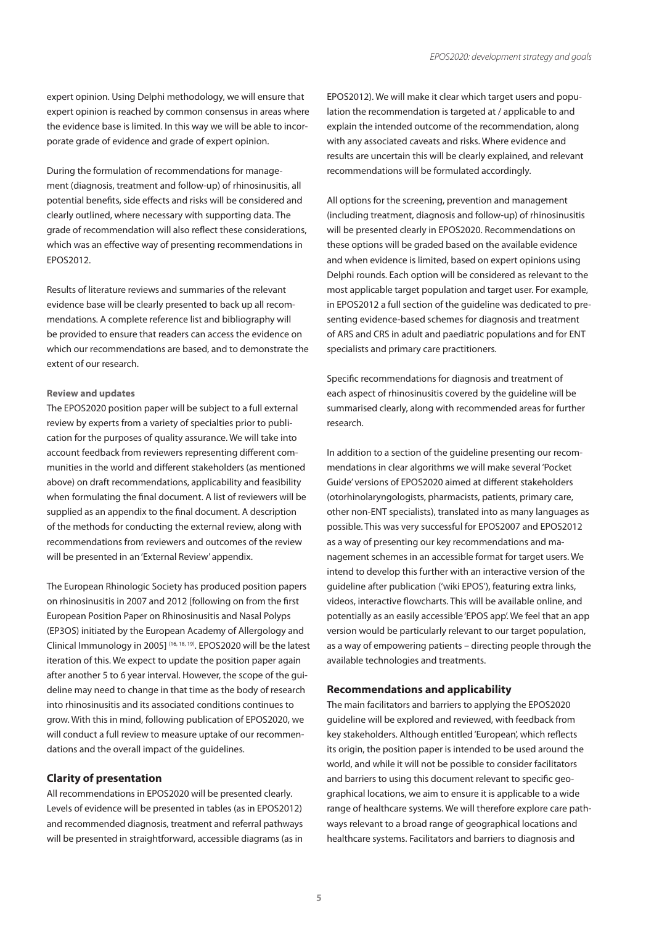expert opinion. Using Delphi methodology, we will ensure that expert opinion is reached by common consensus in areas where the evidence base is limited. In this way we will be able to incorporate grade of evidence and grade of expert opinion.

During the formulation of recommendations for management (diagnosis, treatment and follow-up) of rhinosinusitis, all potential benefits, side effects and risks will be considered and clearly outlined, where necessary with supporting data. The grade of recommendation will also reflect these considerations, which was an effective way of presenting recommendations in EPOS2012.

Results of literature reviews and summaries of the relevant evidence base will be clearly presented to back up all recommendations. A complete reference list and bibliography will be provided to ensure that readers can access the evidence on which our recommendations are based, and to demonstrate the extent of our research.

#### **Review and updates**

The EPOS2020 position paper will be subject to a full external review by experts from a variety of specialties prior to publication for the purposes of quality assurance. We will take into account feedback from reviewers representing different communities in the world and different stakeholders (as mentioned above) on draft recommendations, applicability and feasibility when formulating the final document. A list of reviewers will be supplied as an appendix to the final document. A description of the methods for conducting the external review, along with recommendations from reviewers and outcomes of the review will be presented in an 'External Review' appendix.

The European Rhinologic Society has produced position papers on rhinosinusitis in 2007 and 2012 [following on from the first European Position Paper on Rhinosinusitis and Nasal Polyps (EP3OS) initiated by the European Academy of Allergology and Clinical Immunology in 2005] (16, 18, 19). EPOS2020 will be the latest iteration of this. We expect to update the position paper again after another 5 to 6 year interval. However, the scope of the guideline may need to change in that time as the body of research into rhinosinusitis and its associated conditions continues to grow. With this in mind, following publication of EPOS2020, we will conduct a full review to measure uptake of our recommendations and the overall impact of the guidelines.

## **Clarity of presentation**

All recommendations in EPOS2020 will be presented clearly. Levels of evidence will be presented in tables (as in EPOS2012) and recommended diagnosis, treatment and referral pathways will be presented in straightforward, accessible diagrams (as in EPOS2012). We will make it clear which target users and population the recommendation is targeted at / applicable to and explain the intended outcome of the recommendation, along with any associated caveats and risks. Where evidence and results are uncertain this will be clearly explained, and relevant recommendations will be formulated accordingly.

All options for the screening, prevention and management (including treatment, diagnosis and follow-up) of rhinosinusitis will be presented clearly in EPOS2020. Recommendations on these options will be graded based on the available evidence and when evidence is limited, based on expert opinions using Delphi rounds. Each option will be considered as relevant to the most applicable target population and target user. For example, in EPOS2012 a full section of the guideline was dedicated to presenting evidence-based schemes for diagnosis and treatment of ARS and CRS in adult and paediatric populations and for ENT specialists and primary care practitioners.

Specific recommendations for diagnosis and treatment of each aspect of rhinosinusitis covered by the guideline will be summarised clearly, along with recommended areas for further research.

In addition to a section of the guideline presenting our recommendations in clear algorithms we will make several 'Pocket Guide' versions of EPOS2020 aimed at different stakeholders (otorhinolaryngologists, pharmacists, patients, primary care, other non-ENT specialists), translated into as many languages as possible. This was very successful for EPOS2007 and EPOS2012 as a way of presenting our key recommendations and management schemes in an accessible format for target users. We intend to develop this further with an interactive version of the guideline after publication ('wiki EPOS'), featuring extra links, videos, interactive flowcharts. This will be available online, and potentially as an easily accessible 'EPOS app'. We feel that an app version would be particularly relevant to our target population, as a way of empowering patients – directing people through the available technologies and treatments.

## **Recommendations and applicability**

The main facilitators and barriers to applying the EPOS2020 guideline will be explored and reviewed, with feedback from key stakeholders. Although entitled 'European', which reflects its origin, the position paper is intended to be used around the world, and while it will not be possible to consider facilitators and barriers to using this document relevant to specific geographical locations, we aim to ensure it is applicable to a wide range of healthcare systems. We will therefore explore care pathways relevant to a broad range of geographical locations and healthcare systems. Facilitators and barriers to diagnosis and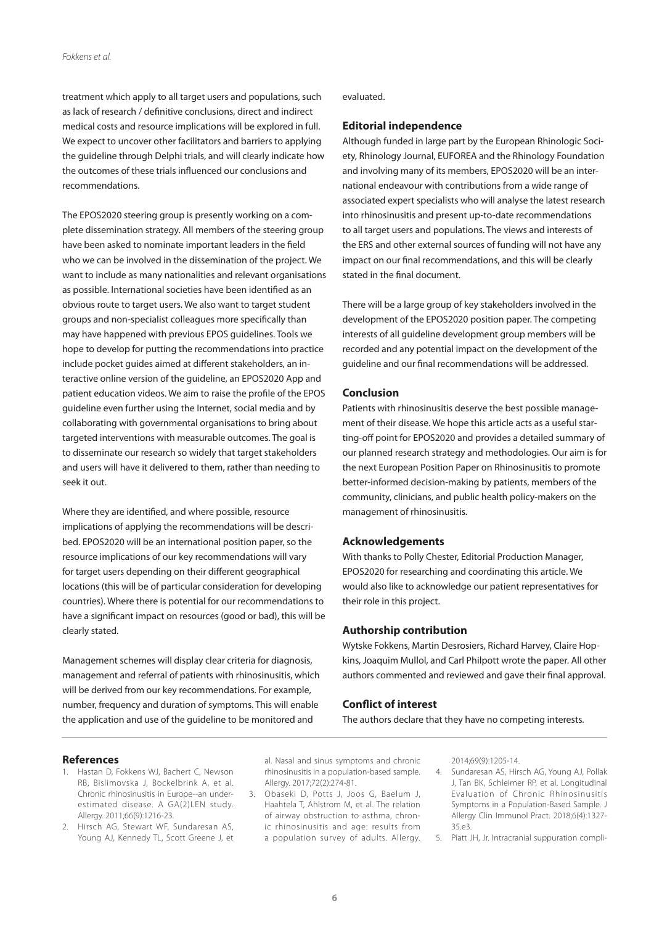treatment which apply to all target users and populations, such as lack of research / definitive conclusions, direct and indirect medical costs and resource implications will be explored in full. We expect to uncover other facilitators and barriers to applying the guideline through Delphi trials, and will clearly indicate how the outcomes of these trials influenced our conclusions and recommendations.

The EPOS2020 steering group is presently working on a complete dissemination strategy. All members of the steering group have been asked to nominate important leaders in the field who we can be involved in the dissemination of the project. We want to include as many nationalities and relevant organisations as possible. International societies have been identified as an obvious route to target users. We also want to target student groups and non-specialist colleagues more specifically than may have happened with previous EPOS guidelines. Tools we hope to develop for putting the recommendations into practice include pocket guides aimed at different stakeholders, an interactive online version of the guideline, an EPOS2020 App and patient education videos. We aim to raise the profile of the EPOS guideline even further using the Internet, social media and by collaborating with governmental organisations to bring about targeted interventions with measurable outcomes. The goal is to disseminate our research so widely that target stakeholders and users will have it delivered to them, rather than needing to seek it out.

Where they are identified, and where possible, resource implications of applying the recommendations will be described. EPOS2020 will be an international position paper, so the resource implications of our key recommendations will vary for target users depending on their different geographical locations (this will be of particular consideration for developing countries). Where there is potential for our recommendations to have a significant impact on resources (good or bad), this will be clearly stated.

Management schemes will display clear criteria for diagnosis, management and referral of patients with rhinosinusitis, which will be derived from our key recommendations. For example, number, frequency and duration of symptoms. This will enable the application and use of the guideline to be monitored and

#### evaluated.

## **Editorial independence**

Although funded in large part by the European Rhinologic Society, Rhinology Journal, EUFOREA and the Rhinology Foundation and involving many of its members, EPOS2020 will be an international endeavour with contributions from a wide range of associated expert specialists who will analyse the latest research into rhinosinusitis and present up-to-date recommendations to all target users and populations. The views and interests of the ERS and other external sources of funding will not have any impact on our final recommendations, and this will be clearly stated in the final document.

There will be a large group of key stakeholders involved in the development of the EPOS2020 position paper. The competing interests of all guideline development group members will be recorded and any potential impact on the development of the guideline and our final recommendations will be addressed.

## **Conclusion**

Patients with rhinosinusitis deserve the best possible management of their disease. We hope this article acts as a useful starting-off point for EPOS2020 and provides a detailed summary of our planned research strategy and methodologies. Our aim is for the next European Position Paper on Rhinosinusitis to promote better-informed decision-making by patients, members of the community, clinicians, and public health policy-makers on the management of rhinosinusitis.

## **Acknowledgements**

With thanks to Polly Chester, Editorial Production Manager, EPOS2020 for researching and coordinating this article. We would also like to acknowledge our patient representatives for their role in this project.

## **Authorship contribution**

Wytske Fokkens, Martin Desrosiers, Richard Harvey, Claire Hopkins, Joaquim Mullol, and Carl Philpott wrote the paper. All other authors commented and reviewed and gave their final approval.

# **Conflict of interest**

The authors declare that they have no competing interests.

#### **References**

- 1. Hastan D, Fokkens WJ, Bachert C, Newson RB, Bislimovska J, Bockelbrink A, et al. Chronic rhinosinusitis in Europe--an underestimated disease. A GA(2)LEN study. Allergy. 2011;66(9):1216-23.
- 2. Hirsch AG, Stewart WF, Sundaresan AS, Young AJ, Kennedy TL, Scott Greene J, et

al. Nasal and sinus symptoms and chronic rhinosinusitis in a population-based sample. Allergy. 2017;72(2):274-81.

3. Obaseki D, Potts J, Joos G, Baelum J, Haahtela T, Ahlstrom M, et al. The relation of airway obstruction to asthma, chronic rhinosinusitis and age: results from a population survey of adults. Allergy. 2014;69(9):1205-14.

- 4. Sundaresan AS, Hirsch AG, Young AJ, Pollak J, Tan BK, Schleimer RP, et al. Longitudinal Evaluation of Chronic Rhinosinusitis Symptoms in a Population-Based Sample. J Allergy Clin Immunol Pract. 2018;6(4):1327- 35.e3.
- 5. Piatt JH, Jr. Intracranial suppuration compli-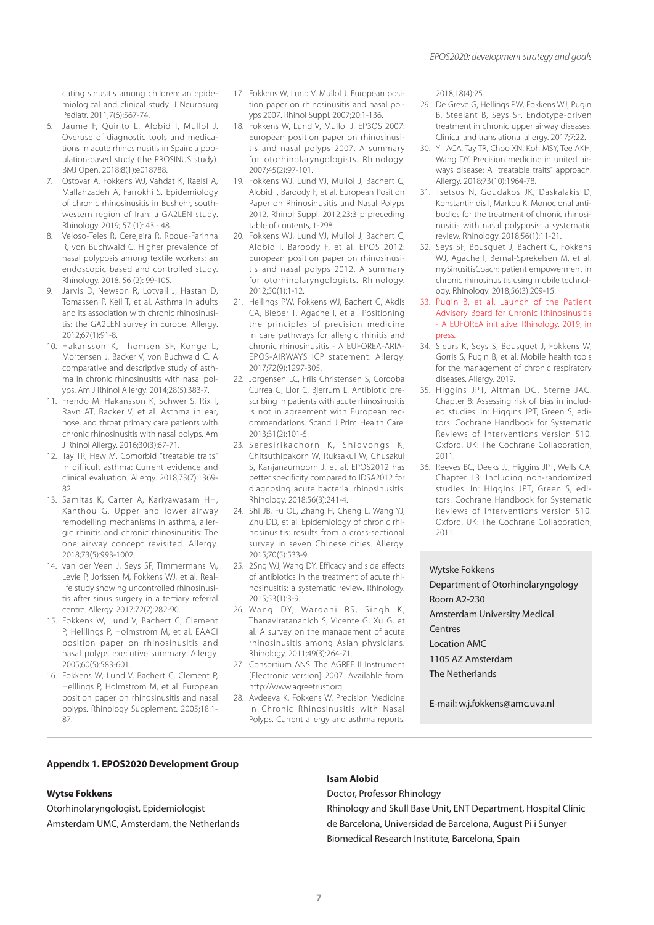cating sinusitis among children: an epidemiological and clinical study. J Neurosurg Pediatr. 2011;7(6):567-74.

- 6. Jaume F, Quinto L, Alobid I, Mullol J. Overuse of diagnostic tools and medications in acute rhinosinusitis in Spain: a population-based study (the PROSINUS study). BMJ Open. 2018;8(1):e018788.
- 7. Ostovar A, Fokkens WJ, Vahdat K, Raeisi A, Mallahzadeh A, Farrokhi S. Epidemiology of chronic rhinosinusitis in Bushehr, southwestern region of Iran: a GA2LEN study. Rhinology. 2019; 57 (1): 43 - 48.
- 8. Veloso-Teles R, Cerejeira R, Roque-Farinha R, von Buchwald C. Higher prevalence of nasal polyposis among textile workers: an endoscopic based and controlled study. Rhinology. 2018. 56 (2): 99-105.
- 9. Jarvis D, Newson R, Lotvall J, Hastan D, Tomassen P, Keil T, et al. Asthma in adults and its association with chronic rhinosinusitis: the GA2LEN survey in Europe. Allergy. 2012;67(1):91-8.
- 10. Hakansson K, Thomsen SF, Konge L, Mortensen J, Backer V, von Buchwald C. A comparative and descriptive study of asthma in chronic rhinosinusitis with nasal polyps. Am J Rhinol Allergy. 2014;28(5):383-7.
- 11. Frendo M, Hakansson K, Schwer S, Rix I, Ravn AT, Backer V, et al. Asthma in ear, nose, and throat primary care patients with chronic rhinosinusitis with nasal polyps. Am J Rhinol Allergy. 2016;30(3):67-71.
- 12. Tay TR, Hew M. Comorbid "treatable traits" in difficult asthma: Current evidence and clinical evaluation. Allergy. 2018;73(7):1369- 82.
- 13. Samitas K, Carter A, Kariyawasam HH, Xanthou G. Upper and lower airway remodelling mechanisms in asthma, allergic rhinitis and chronic rhinosinusitis: The one airway concept revisited. Allergy. 2018;73(5):993-1002.
- 14. van der Veen J, Seys SF, Timmermans M, Levie P, Jorissen M, Fokkens WJ, et al. Reallife study showing uncontrolled rhinosinusitis after sinus surgery in a tertiary referral centre. Allergy. 2017;72(2):282-90.
- 15. Fokkens W, Lund V, Bachert C, Clement P, Helllings P, Holmstrom M, et al. EAACI position paper on rhinosinusitis and nasal polyps executive summary. Allergy. 2005;60(5):583-601.
- 16. Fokkens W, Lund V, Bachert C, Clement P, Helllings P, Holmstrom M, et al. European position paper on rhinosinusitis and nasal polyps. Rhinology Supplement. 2005;18:1- 87.
- 17. Fokkens W, Lund V, Mullol J. European position paper on rhinosinusitis and nasal polyps 2007. Rhinol Suppl. 2007;20:1-136.
- 18. Fokkens W, Lund V, Mullol J. EP3OS 2007: European position paper on rhinosinusitis and nasal polyps 2007. A summary for otorhinolaryngologists. Rhinology. 2007;45(2):97-101.
- 19. Fokkens WJ, Lund VJ, Mullol J, Bachert C, Alobid I, Baroody F, et al. European Position Paper on Rhinosinusitis and Nasal Polyps 2012. Rhinol Suppl. 2012;23:3 p preceding table of contents, 1-298.
- 20. Fokkens WJ, Lund VJ, Mullol J, Bachert C, Alobid I, Baroody F, et al. EPOS 2012: European position paper on rhinosinusitis and nasal polyps 2012. A summary for otorhinolaryngologists. Rhinology. 2012;50(1):1-12.
- 21. Hellings PW, Fokkens WJ, Bachert C, Akdis CA, Bieber T, Agache I, et al. Positioning the principles of precision medicine in care pathways for allergic rhinitis and chronic rhinosinusitis - A EUFOREA-ARIA-EPOS-AIRWAYS ICP statement. Allergy. 2017;72(9):1297-305.
- 22. Jorgensen LC, Friis Christensen S, Cordoba Currea G, Llor C, Bjerrum L. Antibiotic prescribing in patients with acute rhinosinusitis is not in agreement with European recommendations. Scand J Prim Health Care. 2013;31(2):101-5.
- 23. Seresirikachorn K, Snidvongs K, Chitsuthipakorn W, Ruksakul W, Chusakul S, Kanjanaumporn J, et al. EPOS2012 has better specificity compared to IDSA2012 for diagnosing acute bacterial rhinosinusitis. Rhinology. 2018;56(3):241-4.
- 24. Shi JB, Fu QL, Zhang H, Cheng L, Wang YJ, Zhu DD, et al. Epidemiology of chronic rhinosinusitis: results from a cross-sectional survey in seven Chinese cities. Allergy. 2015;70(5):533-9.
- 25. 2Sng WJ, Wang DY. Efficacy and side effects of antibiotics in the treatment of acute rhinosinusitis: a systematic review. Rhinology. 2015;53(1):3-9.
- 26. Wang DY, Wardani RS, Singh K, Thanaviratananich S, Vicente G, Xu G, et al. A survey on the management of acute rhinosinusitis among Asian physicians. Rhinology. 2011;49(3):264-71.
- 27. Consortium ANS. The AGREE II Instrument [Electronic version] 2007. Available from: http://www.agreetrust.org.
- 28. Avdeeva K, Fokkens W. Precision Medicine in Chronic Rhinosinusitis with Nasal Polyps. Current allergy and asthma reports.

2018;18(4):25.

- 29. De Greve G, Hellings PW, Fokkens WJ, Pugin B, Steelant B, Seys SF. Endotype-driven treatment in chronic upper airway diseases. Clinical and translational allergy. 2017;7:22.
- 30. Yii ACA, Tay TR, Choo XN, Koh MSY, Tee AKH, Wang DY. Precision medicine in united airways disease: A "treatable traits" approach. Allergy. 2018;73(10):1964-78.
- 31. Tsetsos N, Goudakos JK, Daskalakis D, Konstantinidis I, Markou K. Monoclonal antibodies for the treatment of chronic rhinosinusitis with nasal polyposis: a systematic review. Rhinology. 2018;56(1):11-21.
- 32. Seys SF, Bousquet J, Bachert C, Fokkens WJ, Agache I, Bernal-Sprekelsen M, et al. mySinusitisCoach: patient empowerment in chronic rhinosinusitis using mobile technology. Rhinology. 2018;56(3):209-15.
- 33. Pugin B, et al. Launch of the Patient Advisory Board for Chronic Rhinosinusitis - A EUFOREA initiative. Rhinology. 2019; in press.
- 34. Sleurs K, Seys S, Bousquet J, Fokkens W, Gorris S, Pugin B, et al. Mobile health tools for the management of chronic respiratory diseases. Allergy. 2019.
- 35. Higgins JPT, Altman DG, Sterne JAC. Chapter 8: Assessing risk of bias in included studies. In: Higgins JPT, Green S, editors. Cochrane Handbook for Systematic Reviews of Interventions Version 510. Oxford, UK: The Cochrane Collaboration; 2011.
- 36. Reeves BC, Deeks JJ, Higgins JPT, Wells GA. Chapter 13: Including non-randomized studies. In: Higgins JPT, Green S, editors. Cochrane Handbook for Systematic Reviews of Interventions Version 510. Oxford, UK: The Cochrane Collaboration; 2011.

#### Wytske Fokkens

Department of Otorhinolaryngology Room A2-230 Amsterdam University Medical Centres Location AMC 1105 AZ Amsterdam The Netherlands

E-mail: w.j.fokkens@amc.uva.nl

## **Appendix 1. EPOS2020 Development Group**

#### **Wytse Fokkens**

Otorhinolaryngologist, Epidemiologist Amsterdam UMC, Amsterdam, the Netherlands

#### **Isam Alobid**

Doctor, Professor Rhinology

Rhinology and Skull Base Unit, ENT Department, Hospital Clínic de Barcelona, Universidad de Barcelona, August Pi i Sunyer Biomedical Research Institute, Barcelona, Spain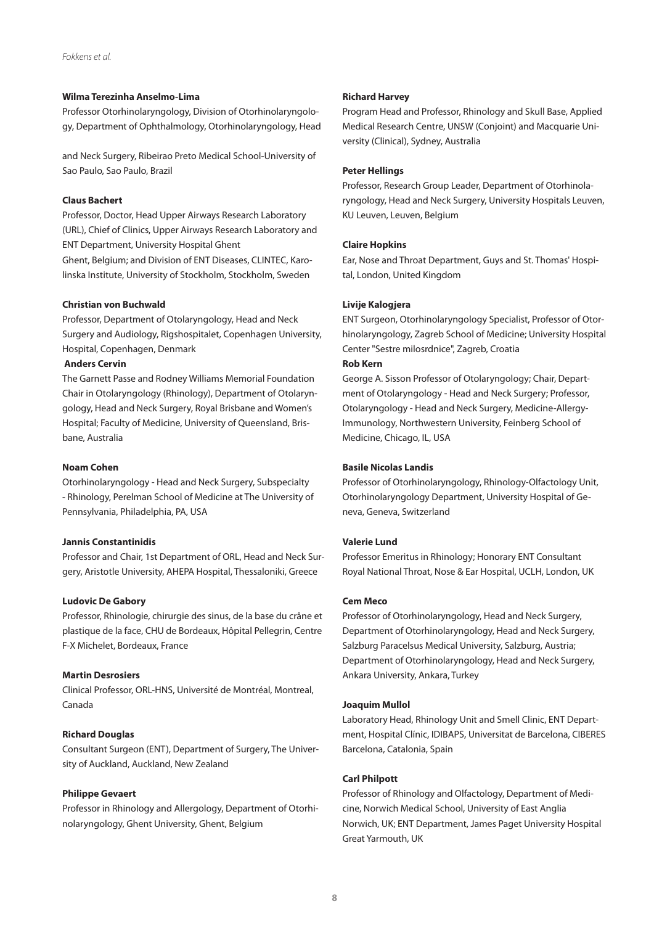## **Wilma Terezinha Anselmo-Lima**

Professor Otorhinolaryngology, Division of Otorhinolaryngology, Department of Ophthalmology, Otorhinolaryngology, Head

and Neck Surgery, Ribeirao Preto Medical School-University of Sao Paulo, Sao Paulo, Brazil

## **Claus Bachert**

Professor, Doctor, Head Upper Airways Research Laboratory (URL), Chief of Clinics, Upper Airways Research Laboratory and ENT Department, University Hospital Ghent

Ghent, Belgium; and Division of ENT Diseases, CLINTEC, Karolinska Institute, University of Stockholm, Stockholm, Sweden

## **Christian von Buchwald**

Professor, Department of Otolaryngology, Head and Neck Surgery and Audiology, Rigshospitalet, Copenhagen University, Hospital, Copenhagen, Denmark

## **Anders Cervin**

The Garnett Passe and Rodney Williams Memorial Foundation Chair in Otolaryngology (Rhinology), Department of Otolaryngology, Head and Neck Surgery, Royal Brisbane and Women's Hospital; Faculty of Medicine, University of Queensland, Brisbane, Australia

#### **Noam Cohen**

Otorhinolaryngology - Head and Neck Surgery, Subspecialty - Rhinology, Perelman School of Medicine at The University of Pennsylvania, Philadelphia, PA, USA

#### **Jannis Constantinidis**

Professor and Chair, 1st Department of ORL, Head and Neck Surgery, Aristotle University, AHEPA Hospital, Thessaloniki, Greece

## **Ludovic De Gabory**

Professor, Rhinologie, chirurgie des sinus, de la base du crâne et plastique de la face, CHU de Bordeaux, Hôpital Pellegrin, Centre F-X Michelet, Bordeaux, France

## **Martin Desrosiers**

Clinical Professor, ORL-HNS, Université de Montréal, Montreal, Canada

## **Richard Douglas**

Consultant Surgeon (ENT), Department of Surgery, The University of Auckland, Auckland, New Zealand

#### **Philippe Gevaert**

Professor in Rhinology and Allergology, Department of Otorhinolaryngology, Ghent University, Ghent, Belgium

#### **Richard Harvey**

Program Head and Professor, Rhinology and Skull Base, Applied Medical Research Centre, UNSW (Conjoint) and Macquarie University (Clinical), Sydney, Australia

#### **Peter Hellings**

Professor, Research Group Leader, Department of Otorhinolaryngology, Head and Neck Surgery, University Hospitals Leuven, KU Leuven, Leuven, Belgium

#### **Claire Hopkins**

Ear, Nose and Throat Department, Guys and St. Thomas' Hospital, London, United Kingdom

## **Livije Kalogjera**

ENT Surgeon, Otorhinolaryngology Specialist, Professor of Otorhinolaryngology, Zagreb School of Medicine; University Hospital Center "Sestre milosrdnice", Zagreb, Croatia

## **Rob Kern**

George A. Sisson Professor of Otolaryngology; Chair, Department of Otolaryngology - Head and Neck Surgery; Professor, Otolaryngology - Head and Neck Surgery, Medicine-Allergy-Immunology, Northwestern University, Feinberg School of Medicine, Chicago, IL, USA

#### **Basile Nicolas Landis**

Professor of Otorhinolaryngology, Rhinology-Olfactology Unit, Otorhinolaryngology Department, University Hospital of Geneva, Geneva, Switzerland

## **Valerie Lund**

Professor Emeritus in Rhinology; Honorary ENT Consultant Royal National Throat, Nose & Ear Hospital, UCLH, London, UK

## **Cem Meco**

Professor of Otorhinolaryngology, Head and Neck Surgery, Department of Otorhinolaryngology, Head and Neck Surgery, Salzburg Paracelsus Medical University, Salzburg, Austria; Department of Otorhinolaryngology, Head and Neck Surgery, Ankara University, Ankara, Turkey

#### **Joaquim Mullol**

Laboratory Head, Rhinology Unit and Smell Clinic, ENT Department, Hospital Clínic, IDIBAPS, Universitat de Barcelona, CIBERES Barcelona, Catalonia, Spain

#### **Carl Philpott**

Professor of Rhinology and Olfactology, Department of Medicine, Norwich Medical School, University of East Anglia Norwich, UK; ENT Department, James Paget University Hospital Great Yarmouth, UK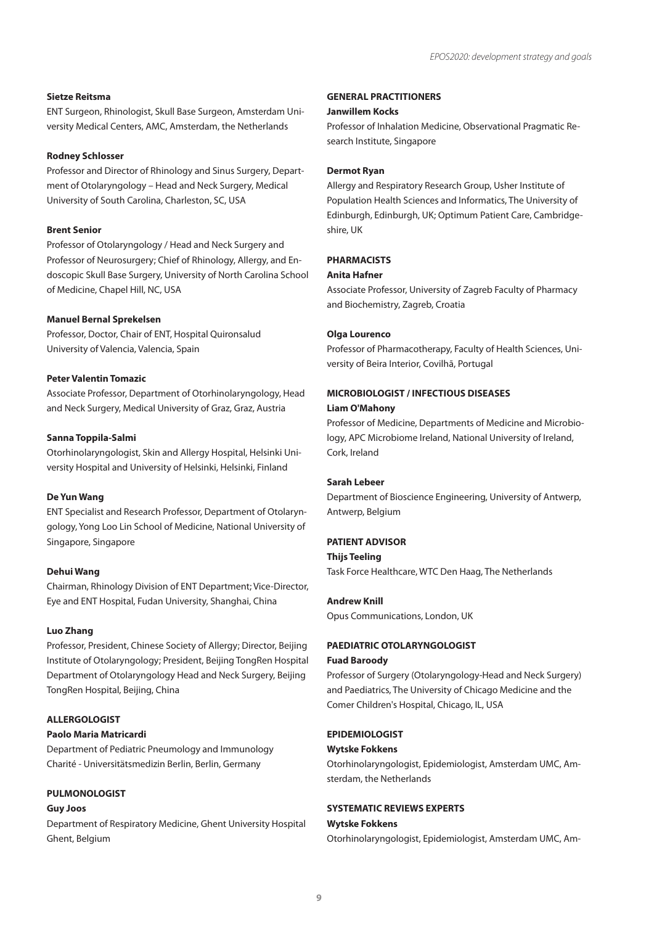## **Sietze Reitsma**

ENT Surgeon, Rhinologist, Skull Base Surgeon, Amsterdam University Medical Centers, AMC, Amsterdam, the Netherlands

#### **Rodney Schlosser**

Professor and Director of Rhinology and Sinus Surgery, Department of Otolaryngology – Head and Neck Surgery, Medical University of South Carolina, Charleston, SC, USA

#### **Brent Senior**

Professor of Otolaryngology / Head and Neck Surgery and Professor of Neurosurgery; Chief of Rhinology, Allergy, and Endoscopic Skull Base Surgery, University of North Carolina School of Medicine, Chapel Hill, NC, USA

#### **Manuel Bernal Sprekelsen**

Professor, Doctor, Chair of ENT, Hospital Quironsalud University of Valencia, Valencia, Spain

#### **Peter Valentin Tomazic**

Associate Professor, Department of Otorhinolaryngology, Head and Neck Surgery, Medical University of Graz, Graz, Austria

#### **Sanna Toppila-Salmi**

Otorhinolaryngologist, Skin and Allergy Hospital, Helsinki University Hospital and University of Helsinki, Helsinki, Finland

## **De Yun Wang**

ENT Specialist and Research Professor, Department of Otolaryngology, Yong Loo Lin School of Medicine, National University of Singapore, Singapore

#### **Dehui Wang**

Chairman, Rhinology Division of ENT Department; Vice-Director, Eye and ENT Hospital, Fudan University, Shanghai, China

## **Luo Zhang**

Professor, President, Chinese Society of Allergy; Director, Beijing Institute of Otolaryngology; President, Beijing TongRen Hospital Department of Otolaryngology Head and Neck Surgery, Beijing TongRen Hospital, Beijing, China

## **ALLERGOLOGIST**

## **Paolo Maria Matricardi**

Department of Pediatric Pneumology and Immunology Charité - Universitätsmedizin Berlin, Berlin, Germany

#### **PULMONOLOGIST**

#### **Guy Joos**

Department of Respiratory Medicine, Ghent University Hospital Ghent, Belgium

## **GENERAL PRACTITIONERS**

#### **Janwillem Kocks**

Professor of Inhalation Medicine, Observational Pragmatic Research Institute, Singapore

#### **Dermot Ryan**

Allergy and Respiratory Research Group, Usher Institute of Population Health Sciences and Informatics, The University of Edinburgh, Edinburgh, UK; Optimum Patient Care, Cambridgeshire, UK

## **PHARMACISTS**

## **Anita Hafner**

Associate Professor, University of Zagreb Faculty of Pharmacy and Biochemistry, Zagreb, Croatia

#### **Olga Lourenco**

Professor of Pharmacotherapy, Faculty of Health Sciences, University of Beira Interior, Covilhã, Portugal

# **MICROBIOLOGIST / INFECTIOUS DISEASES Liam O'Mahony**

Professor of Medicine, Departments of Medicine and Microbiology, APC Microbiome Ireland, National University of Ireland, Cork, Ireland

#### **Sarah Lebeer**

Department of Bioscience Engineering, University of Antwerp, Antwerp, Belgium

## **PATIENT ADVISOR**

## **Thijs Teeling**

Task Force Healthcare, WTC Den Haag, The Netherlands

#### **Andrew Knill**

Opus Communications, London, UK

## **PAEDIATRIC OTOLARYNGOLOGIST**

## **Fuad Baroody**

Professor of Surgery (Otolaryngology-Head and Neck Surgery) and Paediatrics, The University of Chicago Medicine and the Comer Children's Hospital, Chicago, IL, USA

## **EPIDEMIOLOGIST**

## **Wytske Fokkens**

Otorhinolaryngologist, Epidemiologist, Amsterdam UMC, Amsterdam, the Netherlands

#### **SYSTEMATIC REVIEWS EXPERTS**

## **Wytske Fokkens**

Otorhinolaryngologist, Epidemiologist, Amsterdam UMC, Am-